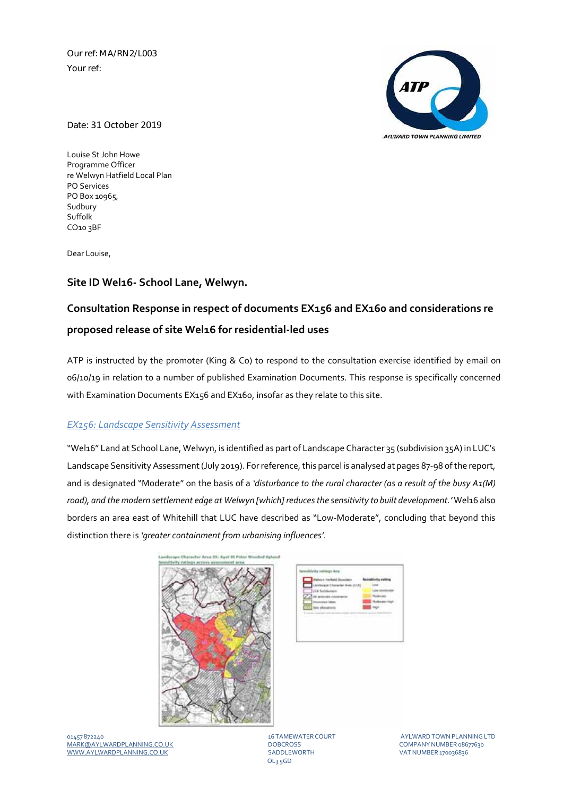Our ref: MA/RN2/L003 Your ref:



Date: 31 October 2019

Louise St John Howe Programme Officer re Welwyn Hatfield Local Plan PO Services PO Box 10965, Sudbury Suffolk CO10 3BF

Dear Louise,

## **Site ID Wel16‐ School Lane, Welwyn.**

# **Consultation Response in respect of documents EX156 and EX160 and considerations re proposed release of site Wel16 for residential‐led uses**

ATP is instructed by the promoter (King & Co) to respond to the consultation exercise identified by email on 06/10/19 in relation to a number of published Examination Documents. This response is specifically concerned with Examination Documents EX156 and EX160, insofar as they relate to this site.

#### *EX156: Landscape Sensitivity Assessment*

"Wel16" Land at School Lane, Welwyn, is identified as part of Landscape Character 35 (subdivision 35A) in LUC's Landscape Sensitivity Assessment (July 2019). For reference, this parcel is analysed at pages 87-98 of the report, and is designated "Moderate" on the basis of a *'disturbance to the rural character (as a result of the busy A1(M) road), and the modern settlement edge at Welwyn [which] reducesthe sensitivity to built development.'* Wel16 also borders an area east of Whitehill that LUC have described as "Low‐Moderate", concluding that beyond this distinction there is *'greater containment from urbanising influences'*.





01457 872240 16 TAMEWATER COURT AYLWARDTOWNPLANNINGLTD MARK@AYLWARDPLANNING.CO.UK DOBCROSS COMPANYNUMBER 08677630 WWW.AYLWARDPLANNING.CO.UK

OL3 5GD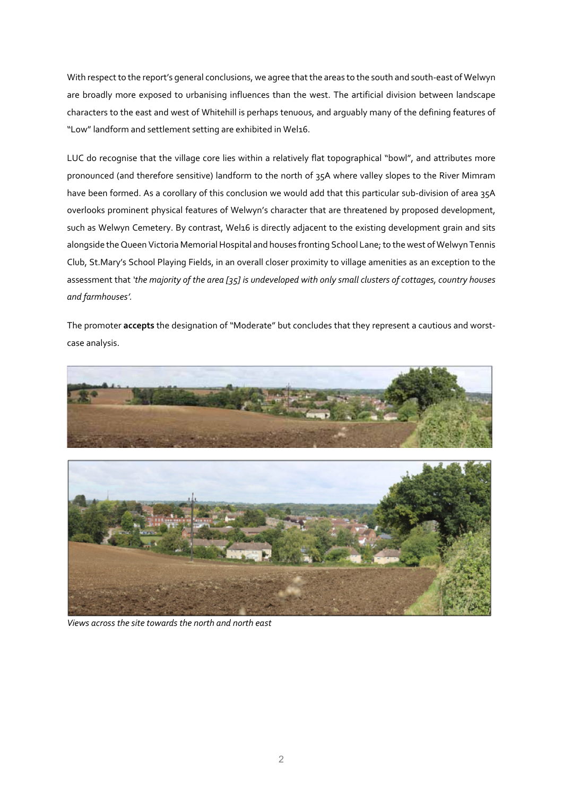With respect to the report's general conclusions, we agree that the areas to the south and south-east of Welwyn are broadly more exposed to urbanising influences than the west. The artificial division between landscape characters to the east and west of Whitehill is perhaps tenuous, and arguably many of the defining features of "Low"landform and settlement setting are exhibited in Wel16.

LUC do recognise that the village core lies within a relatively flat topographical "bowl", and attributes more pronounced (and therefore sensitive) landform to the north of 35A where valley slopes to the River Mimram have been formed. As a corollary of this conclusion we would add that this particular sub-division of area 35A overlooks prominent physical features of Welwyn's character that are threatened by proposed development, such as Welwyn Cemetery. By contrast, Wel16 is directly adjacent to the existing development grain and sits alongside the Queen Victoria Memorial Hospital and houses fronting School Lane; to the west of Welwyn Tennis Club, St.Mary's School Playing Fields, in an overall closer proximity to village amenities as an exception to the assessment that 'the majority of the area [35] is undeveloped with only small clusters of cottages, country houses *and farmhouses'.* 

The promoter **accepts** the designation of "Moderate" but concludes that they represent a cautious and worst‐ case analysis.





*Views across the site towardsthe north and north east*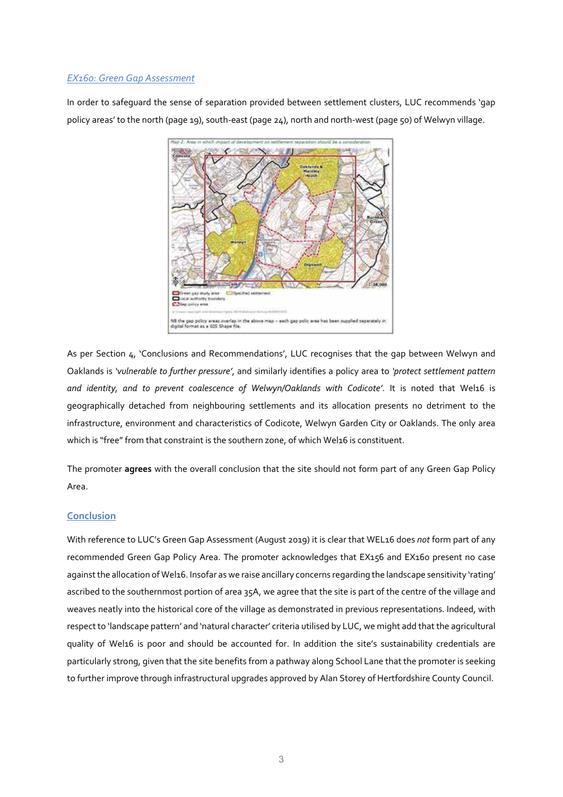### *EX160: Green Gap Assessment*

In order to safeguard the sense of separation provided between settlement clusters, LUC recommends 'gap policy areas' to the north (page 19), south‐east (page 24), north and north‐west (page 50) of Welwyn village.



As per Section 4, 'Conclusions and Recommendations', LUC recognises that the gap between Welwyn and Oaklands is *'vulnerable to further pressure'*, and similarly identifies a policy area to *'protect settlement pattern and identity, and to prevent coalescence of Welwyn/Oaklands with Codicote'*. It is noted that Wel16 is geographically detached from neighbouring settlements and its allocation presents no detriment to the infrastructure, environment and characteristics of Codicote, Welwyn Garden City or Oaklands. The only area which is "free" from that constraint is the southern zone, of which Wel16 is constituent.

The promoter **agrees** with the overall conclusion that the site should not form part of any Green Gap Policy Area.

#### **Conclusion**

With reference to LUC's Green Gap Assessment (August 2019) it is clear that WEL16 does *not* form part of any recommended Green Gap Policy Area. The promoter acknowledges that EX156 and EX160 present no case against the allocation of Wel16. Insofar as we raise ancillary concerns regarding the landscape sensitivity 'rating' ascribed to the southernmost portion of area 35A, we agree that the site is part of the centre of the village and weaves neatly into the historical core of the village as demonstrated in previous representations. Indeed, with respect to 'landscape pattern' and 'natural character' criteria utilised by LUC, we might add that the agricultural quality of Wel16 is poor and should be accounted for. In addition the site's sustainability credentials are particularly strong, given that the site benefits from a pathway along School Lane that the promoter is seeking to further improve through infrastructural upgrades approved by Alan Storey of Hertfordshire County Council.